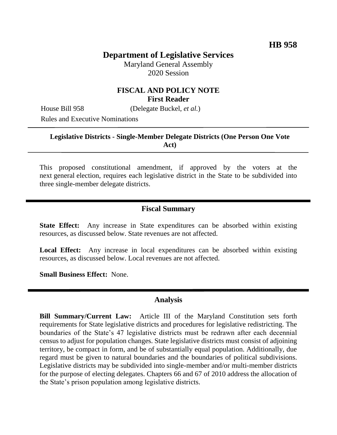# **Department of Legislative Services**

Maryland General Assembly 2020 Session

## **FISCAL AND POLICY NOTE First Reader**

House Bill 958 (Delegate Buckel, *et al.*)

Rules and Executive Nominations

### **Legislative Districts - Single-Member Delegate Districts (One Person One Vote Act)**

This proposed constitutional amendment, if approved by the voters at the next general election, requires each legislative district in the State to be subdivided into three single-member delegate districts.

## **Fiscal Summary**

**State Effect:** Any increase in State expenditures can be absorbed within existing resources, as discussed below. State revenues are not affected.

**Local Effect:** Any increase in local expenditures can be absorbed within existing resources, as discussed below. Local revenues are not affected.

**Small Business Effect:** None.

## **Analysis**

**Bill Summary/Current Law:** Article III of the Maryland Constitution sets forth requirements for State legislative districts and procedures for legislative redistricting. The boundaries of the State's 47 legislative districts must be redrawn after each decennial census to adjust for population changes. State legislative districts must consist of adjoining territory, be compact in form, and be of substantially equal population. Additionally, due regard must be given to natural boundaries and the boundaries of political subdivisions. Legislative districts may be subdivided into single-member and/or multi-member districts for the purpose of electing delegates. Chapters 66 and 67 of 2010 address the allocation of the State's prison population among legislative districts.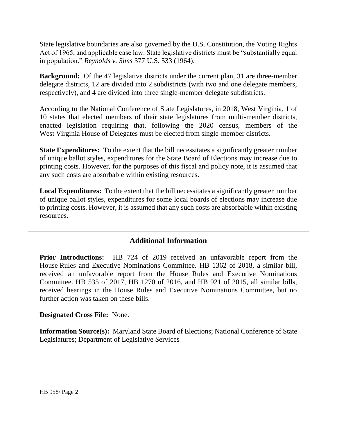State legislative boundaries are also governed by the U.S. Constitution, the Voting Rights Act of 1965, and applicable case law. State legislative districts must be "substantially equal in population." *Reynolds v. Sims* 377 U.S. 533 (1964).

**Background:** Of the 47 legislative districts under the current plan, 31 are three-member delegate districts, 12 are divided into 2 subdistricts (with two and one delegate members, respectively), and 4 are divided into three single-member delegate subdistricts.

According to the National Conference of State Legislatures, in 2018, West Virginia, 1 of 10 states that elected members of their state legislatures from multi-member districts, enacted legislation requiring that, following the 2020 census, members of the West Virginia House of Delegates must be elected from single-member districts.

**State Expenditures:** To the extent that the bill necessitates a significantly greater number of unique ballot styles, expenditures for the State Board of Elections may increase due to printing costs. However, for the purposes of this fiscal and policy note, it is assumed that any such costs are absorbable within existing resources.

**Local Expenditures:** To the extent that the bill necessitates a significantly greater number of unique ballot styles, expenditures for some local boards of elections may increase due to printing costs. However, it is assumed that any such costs are absorbable within existing resources.

# **Additional Information**

**Prior Introductions:** HB 724 of 2019 received an unfavorable report from the House Rules and Executive Nominations Committee. HB 1362 of 2018, a similar bill, received an unfavorable report from the House Rules and Executive Nominations Committee. HB 535 of 2017, HB 1270 of 2016, and HB 921 of 2015, all similar bills, received hearings in the House Rules and Executive Nominations Committee, but no further action was taken on these bills.

### **Designated Cross File:** None.

**Information Source(s):** Maryland State Board of Elections; National Conference of State Legislatures; Department of Legislative Services